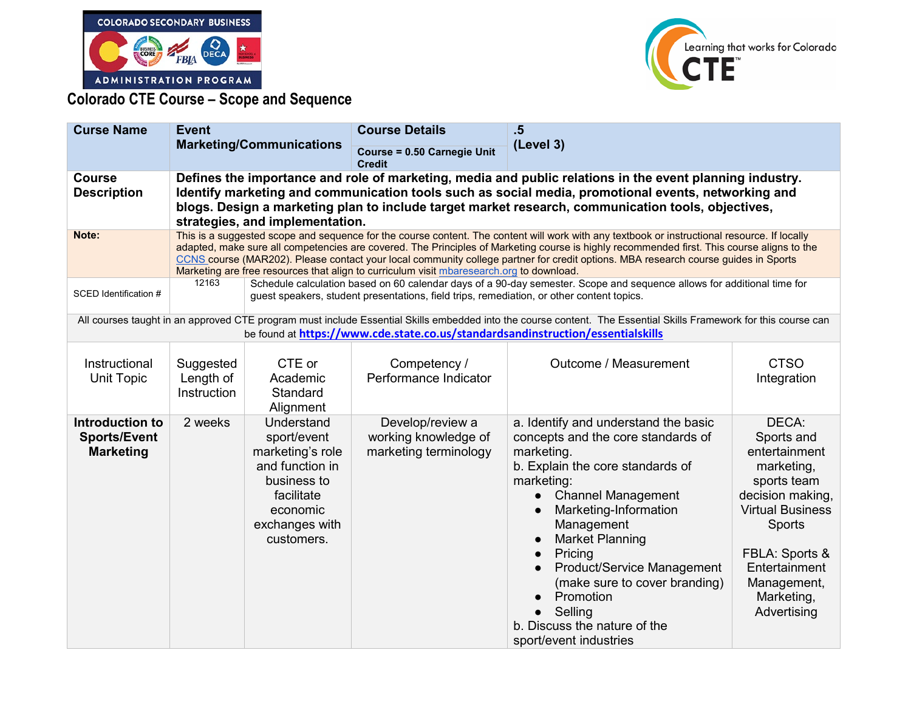



**Colorado CTE Course – Scope and Sequence** 

| <b>Curse Name</b>                                                 | <b>Event</b><br><b>Marketing/Communications</b>                                                                                                                                                                                                                                                                                                          |                                                                                                                                                                                                                                                                                                                                                                                                                                                                                                                              | <b>Course Details</b>                                                                     | .5                                                                                                                                                                                                                                                                                                                                                                                                                                                                           |                                                                                                                                                                                                                  |  |
|-------------------------------------------------------------------|----------------------------------------------------------------------------------------------------------------------------------------------------------------------------------------------------------------------------------------------------------------------------------------------------------------------------------------------------------|------------------------------------------------------------------------------------------------------------------------------------------------------------------------------------------------------------------------------------------------------------------------------------------------------------------------------------------------------------------------------------------------------------------------------------------------------------------------------------------------------------------------------|-------------------------------------------------------------------------------------------|------------------------------------------------------------------------------------------------------------------------------------------------------------------------------------------------------------------------------------------------------------------------------------------------------------------------------------------------------------------------------------------------------------------------------------------------------------------------------|------------------------------------------------------------------------------------------------------------------------------------------------------------------------------------------------------------------|--|
|                                                                   |                                                                                                                                                                                                                                                                                                                                                          |                                                                                                                                                                                                                                                                                                                                                                                                                                                                                                                              | <b>Course = 0.50 Carnegie Unit</b><br><b>Credit</b>                                       | (Level 3)                                                                                                                                                                                                                                                                                                                                                                                                                                                                    |                                                                                                                                                                                                                  |  |
| <b>Course</b><br><b>Description</b>                               | Defines the importance and role of marketing, media and public relations in the event planning industry.<br>Identify marketing and communication tools such as social media, promotional events, networking and<br>blogs. Design a marketing plan to include target market research, communication tools, objectives,<br>strategies, and implementation. |                                                                                                                                                                                                                                                                                                                                                                                                                                                                                                                              |                                                                                           |                                                                                                                                                                                                                                                                                                                                                                                                                                                                              |                                                                                                                                                                                                                  |  |
| Note:                                                             |                                                                                                                                                                                                                                                                                                                                                          | This is a suggested scope and sequence for the course content. The content will work with any textbook or instructional resource. If locally<br>adapted, make sure all competencies are covered. The Principles of Marketing course is highly recommended first. This course aligns to the<br>CCNS course (MAR202). Please contact your local community college partner for credit options. MBA research course guides in Sports<br>Marketing are free resources that align to curriculum visit mbaresearch.org to download. |                                                                                           |                                                                                                                                                                                                                                                                                                                                                                                                                                                                              |                                                                                                                                                                                                                  |  |
| SCED Identification #                                             | 12163                                                                                                                                                                                                                                                                                                                                                    |                                                                                                                                                                                                                                                                                                                                                                                                                                                                                                                              | guest speakers, student presentations, field trips, remediation, or other content topics. | Schedule calculation based on 60 calendar days of a 90-day semester. Scope and sequence allows for additional time for                                                                                                                                                                                                                                                                                                                                                       |                                                                                                                                                                                                                  |  |
|                                                                   |                                                                                                                                                                                                                                                                                                                                                          |                                                                                                                                                                                                                                                                                                                                                                                                                                                                                                                              |                                                                                           | All courses taught in an approved CTE program must include Essential Skills embedded into the course content. The Essential Skills Framework for this course can<br>be found at https://www.cde.state.co.us/standardsandinstruction/essentialskills                                                                                                                                                                                                                          |                                                                                                                                                                                                                  |  |
| Instructional<br>Unit Topic                                       | Suggested<br>Length of<br><b>Instruction</b>                                                                                                                                                                                                                                                                                                             | CTE or<br>Academic<br>Standard<br>Alignment                                                                                                                                                                                                                                                                                                                                                                                                                                                                                  | Competency /<br>Performance Indicator                                                     | Outcome / Measurement                                                                                                                                                                                                                                                                                                                                                                                                                                                        | <b>CTSO</b><br>Integration                                                                                                                                                                                       |  |
| <b>Introduction to</b><br><b>Sports/Event</b><br><b>Marketing</b> | 2 weeks                                                                                                                                                                                                                                                                                                                                                  | Understand<br>sport/event<br>marketing's role<br>and function in<br>business to<br>facilitate<br>economic<br>exchanges with<br>customers.                                                                                                                                                                                                                                                                                                                                                                                    | Develop/review a<br>working knowledge of<br>marketing terminology                         | a. Identify and understand the basic<br>concepts and the core standards of<br>marketing.<br>b. Explain the core standards of<br>marketing:<br><b>Channel Management</b><br>$\bullet$<br>Marketing-Information<br>$\bullet$<br>Management<br><b>Market Planning</b><br>$\bullet$<br>Pricing<br>$\bullet$<br><b>Product/Service Management</b><br>$\bullet$<br>(make sure to cover branding)<br>Promotion<br>Selling<br>b. Discuss the nature of the<br>sport/event industries | DECA:<br>Sports and<br>entertainment<br>marketing,<br>sports team<br>decision making,<br><b>Virtual Business</b><br><b>Sports</b><br>FBLA: Sports &<br>Entertainment<br>Management,<br>Marketing,<br>Advertising |  |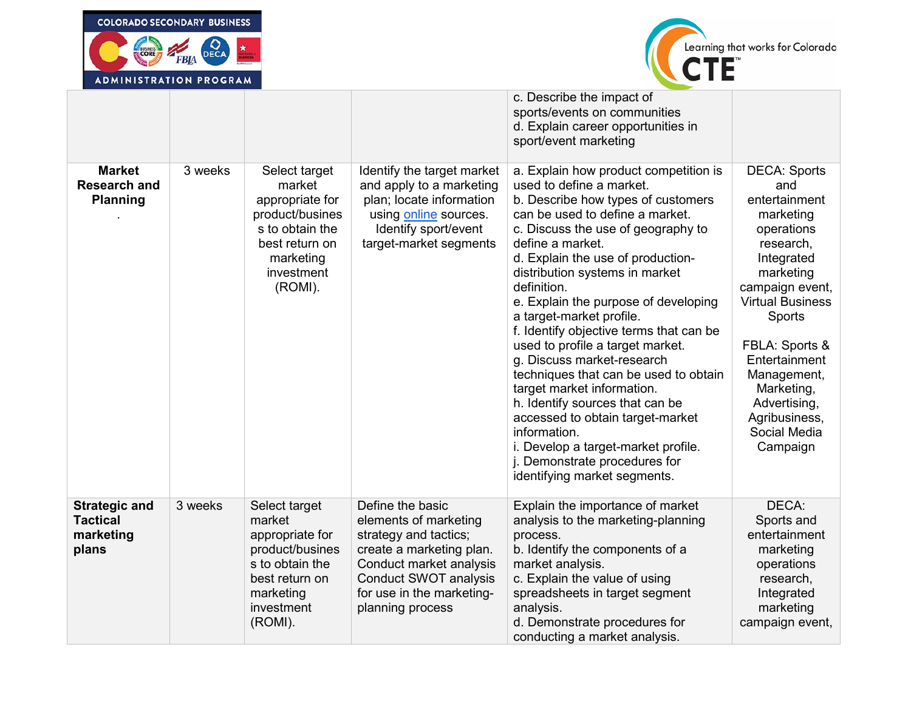



| AUMINISIRAIIUN FRUURAM                                        |         |                                                                                                                                          |                                                                                                                                                                                                     |                                                                                                                                                                                                                                                                                                                                                                                                                                                                                                                                                                                                                                                                                                                                                   |                                                                                                                                                                                                                                                                                                            |
|---------------------------------------------------------------|---------|------------------------------------------------------------------------------------------------------------------------------------------|-----------------------------------------------------------------------------------------------------------------------------------------------------------------------------------------------------|---------------------------------------------------------------------------------------------------------------------------------------------------------------------------------------------------------------------------------------------------------------------------------------------------------------------------------------------------------------------------------------------------------------------------------------------------------------------------------------------------------------------------------------------------------------------------------------------------------------------------------------------------------------------------------------------------------------------------------------------------|------------------------------------------------------------------------------------------------------------------------------------------------------------------------------------------------------------------------------------------------------------------------------------------------------------|
|                                                               |         |                                                                                                                                          |                                                                                                                                                                                                     | c. Describe the impact of<br>sports/events on communities<br>d. Explain career opportunities in<br>sport/event marketing                                                                                                                                                                                                                                                                                                                                                                                                                                                                                                                                                                                                                          |                                                                                                                                                                                                                                                                                                            |
| <b>Market</b><br><b>Research and</b><br><b>Planning</b>       | 3 weeks | Select target<br>market<br>appropriate for<br>product/busines<br>s to obtain the<br>best return on<br>marketing<br>investment<br>(ROMI). | Identify the target market<br>and apply to a marketing<br>plan; locate information<br>using online sources.<br>Identify sport/event<br>target-market segments                                       | a. Explain how product competition is<br>used to define a market.<br>b. Describe how types of customers<br>can be used to define a market.<br>c. Discuss the use of geography to<br>define a market.<br>d. Explain the use of production-<br>distribution systems in market<br>definition.<br>e. Explain the purpose of developing<br>a target-market profile.<br>f. Identify objective terms that can be<br>used to profile a target market.<br>g. Discuss market-research<br>techniques that can be used to obtain<br>target market information.<br>h. Identify sources that can be<br>accessed to obtain target-market<br>information.<br>i. Develop a target-market profile.<br>j. Demonstrate procedures for<br>identifying market segments. | <b>DECA: Sports</b><br>and<br>entertainment<br>marketing<br>operations<br>research,<br>Integrated<br>marketing<br>campaign event,<br><b>Virtual Business</b><br><b>Sports</b><br>FBLA: Sports &<br>Entertainment<br>Management,<br>Marketing,<br>Advertising,<br>Agribusiness,<br>Social Media<br>Campaign |
| <b>Strategic and</b><br><b>Tactical</b><br>marketing<br>plans | 3 weeks | Select target<br>market<br>appropriate for<br>product/busines<br>s to obtain the<br>best return on<br>marketing<br>investment<br>(ROMI). | Define the basic<br>elements of marketing<br>strategy and tactics;<br>create a marketing plan.<br>Conduct market analysis<br>Conduct SWOT analysis<br>for use in the marketing-<br>planning process | Explain the importance of market<br>analysis to the marketing-planning<br>process.<br>b. Identify the components of a<br>market analysis.<br>c. Explain the value of using<br>spreadsheets in target segment<br>analysis.<br>d. Demonstrate procedures for<br>conducting a market analysis.                                                                                                                                                                                                                                                                                                                                                                                                                                                       | DECA:<br>Sports and<br>entertainment<br>marketing<br>operations<br>research,<br>Integrated<br>marketing<br>campaign event,                                                                                                                                                                                 |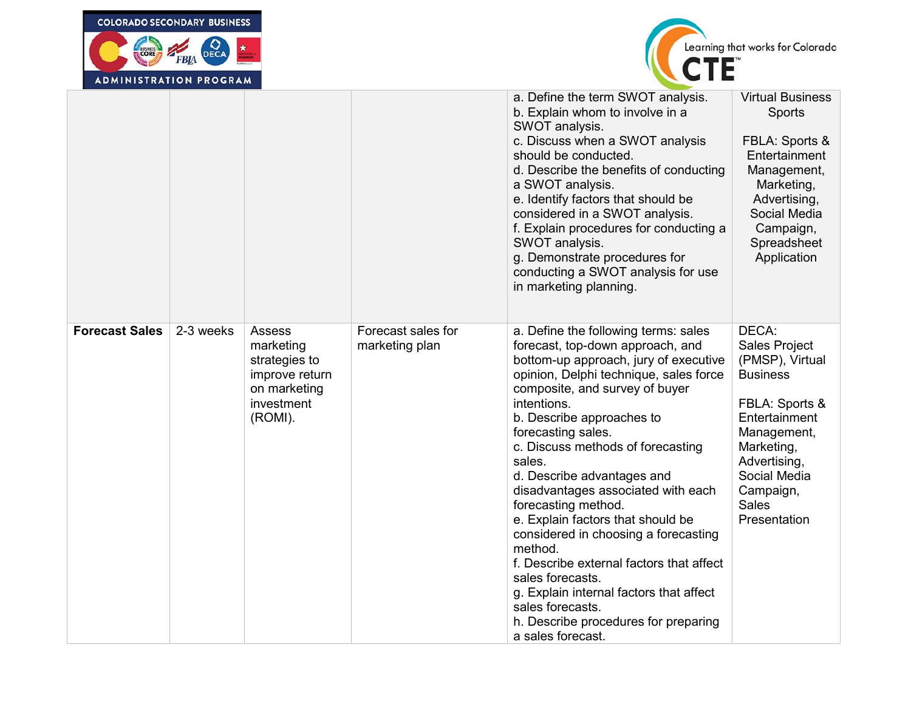| <b>COLORADO SECONDARY BUSINESS</b><br>Learning that works for Colorado<br>BUSINESS<br><b>DECA</b><br>FBIA<br><b>ADMINISTRATION PROGRAM</b> |           |                                                                                                        |                                      |                                                                                                                                                                                                                                                                                                                                                                                                                                                                                                                                                                                                                                                                                               |                                                                                                                                                                                                           |  |  |
|--------------------------------------------------------------------------------------------------------------------------------------------|-----------|--------------------------------------------------------------------------------------------------------|--------------------------------------|-----------------------------------------------------------------------------------------------------------------------------------------------------------------------------------------------------------------------------------------------------------------------------------------------------------------------------------------------------------------------------------------------------------------------------------------------------------------------------------------------------------------------------------------------------------------------------------------------------------------------------------------------------------------------------------------------|-----------------------------------------------------------------------------------------------------------------------------------------------------------------------------------------------------------|--|--|
|                                                                                                                                            |           |                                                                                                        |                                      | a. Define the term SWOT analysis.<br>b. Explain whom to involve in a<br>SWOT analysis.<br>c. Discuss when a SWOT analysis<br>should be conducted.<br>d. Describe the benefits of conducting<br>a SWOT analysis.<br>e. Identify factors that should be<br>considered in a SWOT analysis.<br>f. Explain procedures for conducting a<br>SWOT analysis.<br>g. Demonstrate procedures for<br>conducting a SWOT analysis for use<br>in marketing planning.                                                                                                                                                                                                                                          | <b>Virtual Business</b><br>Sports<br>FBLA: Sports &<br>Entertainment<br>Management,<br>Marketing,<br>Advertising,<br>Social Media<br>Campaign,<br>Spreadsheet<br>Application                              |  |  |
| <b>Forecast Sales</b>                                                                                                                      | 2-3 weeks | <b>Assess</b><br>marketing<br>strategies to<br>improve return<br>on marketing<br>investment<br>(ROMI). | Forecast sales for<br>marketing plan | a. Define the following terms: sales<br>forecast, top-down approach, and<br>bottom-up approach, jury of executive<br>opinion, Delphi technique, sales force<br>composite, and survey of buyer<br>intentions.<br>b. Describe approaches to<br>forecasting sales.<br>c. Discuss methods of forecasting<br>sales.<br>d. Describe advantages and<br>disadvantages associated with each<br>forecasting method.<br>e. Explain factors that should be<br>considered in choosing a forecasting<br>method.<br>f. Describe external factors that affect<br>sales forecasts.<br>g. Explain internal factors that affect<br>sales forecasts.<br>h. Describe procedures for preparing<br>a sales forecast. | DECA:<br>Sales Project<br>(PMSP), Virtual<br><b>Business</b><br>FBLA: Sports &<br>Entertainment<br>Management,<br>Marketing,<br>Advertising,<br>Social Media<br>Campaign,<br><b>Sales</b><br>Presentation |  |  |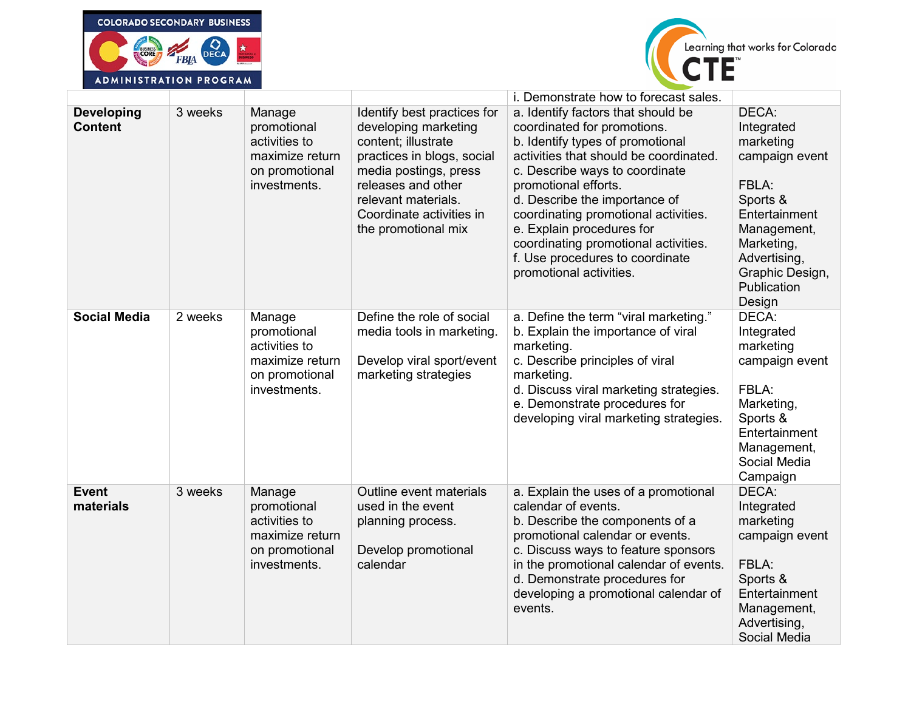



|                                     | ADMINISIRAIIUN FRUURAM |                                                                                             |                                                                                                                                                                                                                                   |                                                                                                                                                                                                                                                                                                                                                                                                                       |                                                                                                                                                                                   |
|-------------------------------------|------------------------|---------------------------------------------------------------------------------------------|-----------------------------------------------------------------------------------------------------------------------------------------------------------------------------------------------------------------------------------|-----------------------------------------------------------------------------------------------------------------------------------------------------------------------------------------------------------------------------------------------------------------------------------------------------------------------------------------------------------------------------------------------------------------------|-----------------------------------------------------------------------------------------------------------------------------------------------------------------------------------|
|                                     |                        |                                                                                             |                                                                                                                                                                                                                                   | i. Demonstrate how to forecast sales.                                                                                                                                                                                                                                                                                                                                                                                 |                                                                                                                                                                                   |
| <b>Developing</b><br><b>Content</b> | 3 weeks                | Manage<br>promotional<br>activities to<br>maximize return<br>on promotional<br>investments. | Identify best practices for<br>developing marketing<br>content; illustrate<br>practices in blogs, social<br>media postings, press<br>releases and other<br>relevant materials.<br>Coordinate activities in<br>the promotional mix | a. Identify factors that should be<br>coordinated for promotions.<br>b. Identify types of promotional<br>activities that should be coordinated.<br>c. Describe ways to coordinate<br>promotional efforts.<br>d. Describe the importance of<br>coordinating promotional activities.<br>e. Explain procedures for<br>coordinating promotional activities.<br>f. Use procedures to coordinate<br>promotional activities. | DECA:<br>Integrated<br>marketing<br>campaign event<br>FBLA:<br>Sports &<br>Entertainment<br>Management,<br>Marketing,<br>Advertising,<br>Graphic Design,<br>Publication<br>Design |
| <b>Social Media</b>                 | 2 weeks                | Manage<br>promotional<br>activities to<br>maximize return<br>on promotional<br>investments. | Define the role of social<br>media tools in marketing.<br>Develop viral sport/event<br>marketing strategies                                                                                                                       | a. Define the term "viral marketing."<br>b. Explain the importance of viral<br>marketing.<br>c. Describe principles of viral<br>marketing.<br>d. Discuss viral marketing strategies.<br>e. Demonstrate procedures for<br>developing viral marketing strategies.                                                                                                                                                       | DECA:<br>Integrated<br>marketing<br>campaign event<br>FBLA:<br>Marketing,<br>Sports &<br>Entertainment<br>Management,<br>Social Media<br>Campaign                                 |
| <b>Event</b><br>materials           | 3 weeks                | Manage<br>promotional<br>activities to<br>maximize return<br>on promotional<br>investments. | Outline event materials<br>used in the event<br>planning process.<br>Develop promotional<br>calendar                                                                                                                              | a. Explain the uses of a promotional<br>calendar of events.<br>b. Describe the components of a<br>promotional calendar or events.<br>c. Discuss ways to feature sponsors<br>in the promotional calendar of events.<br>d. Demonstrate procedures for<br>developing a promotional calendar of<br>events.                                                                                                                | DECA:<br>Integrated<br>marketing<br>campaign event<br>FBLA:<br>Sports &<br>Entertainment<br>Management,<br>Advertising,<br>Social Media                                           |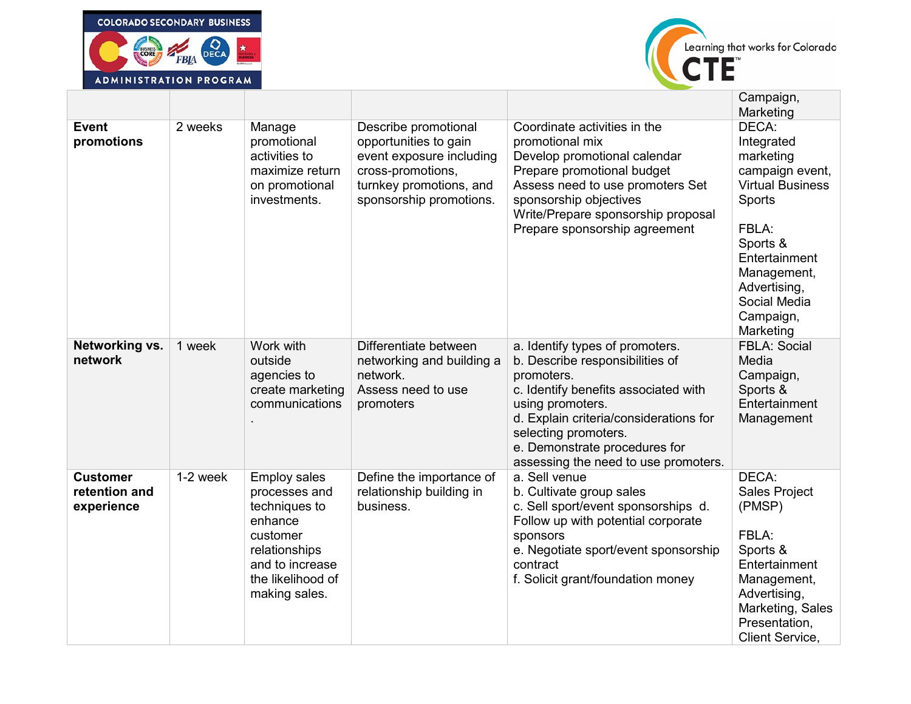



| ADMINISIRAIIUN FRUGRAM                         |          |                                                                                                                                                        |                                                                                                                                                      |                                                                                                                                                                                                                                                                                         |                                                                                                                                                                                                         |
|------------------------------------------------|----------|--------------------------------------------------------------------------------------------------------------------------------------------------------|------------------------------------------------------------------------------------------------------------------------------------------------------|-----------------------------------------------------------------------------------------------------------------------------------------------------------------------------------------------------------------------------------------------------------------------------------------|---------------------------------------------------------------------------------------------------------------------------------------------------------------------------------------------------------|
|                                                |          |                                                                                                                                                        |                                                                                                                                                      |                                                                                                                                                                                                                                                                                         | Campaign,<br>Marketing                                                                                                                                                                                  |
| <b>Event</b><br>promotions                     | 2 weeks  | Manage<br>promotional<br>activities to<br>maximize return<br>on promotional<br>investments.                                                            | Describe promotional<br>opportunities to gain<br>event exposure including<br>cross-promotions,<br>turnkey promotions, and<br>sponsorship promotions. | Coordinate activities in the<br>promotional mix<br>Develop promotional calendar<br>Prepare promotional budget<br>Assess need to use promoters Set<br>sponsorship objectives<br>Write/Prepare sponsorship proposal<br>Prepare sponsorship agreement                                      | DECA:<br>Integrated<br>marketing<br>campaign event,<br><b>Virtual Business</b><br>Sports<br>FBLA:<br>Sports &<br>Entertainment<br>Management,<br>Advertising,<br>Social Media<br>Campaign,<br>Marketing |
| Networking vs.<br>network                      | 1 week   | Work with<br>outside<br>agencies to<br>create marketing<br>communications                                                                              | Differentiate between<br>networking and building a<br>network.<br>Assess need to use<br>promoters                                                    | a. Identify types of promoters.<br>b. Describe responsibilities of<br>promoters.<br>c. Identify benefits associated with<br>using promoters.<br>d. Explain criteria/considerations for<br>selecting promoters.<br>e. Demonstrate procedures for<br>assessing the need to use promoters. | <b>FBLA: Social</b><br>Media<br>Campaign,<br>Sports &<br>Entertainment<br>Management                                                                                                                    |
| <b>Customer</b><br>retention and<br>experience | 1-2 week | <b>Employ sales</b><br>processes and<br>techniques to<br>enhance<br>customer<br>relationships<br>and to increase<br>the likelihood of<br>making sales. | Define the importance of<br>relationship building in<br>business.                                                                                    | a. Sell venue<br>b. Cultivate group sales<br>c. Sell sport/event sponsorships d.<br>Follow up with potential corporate<br>sponsors<br>e. Negotiate sport/event sponsorship<br>contract<br>f. Solicit grant/foundation money                                                             | DECA:<br>Sales Project<br>(PMSP)<br>FBLA:<br>Sports &<br>Entertainment<br>Management,<br>Advertising,<br>Marketing, Sales<br>Presentation,<br><b>Client Service,</b>                                    |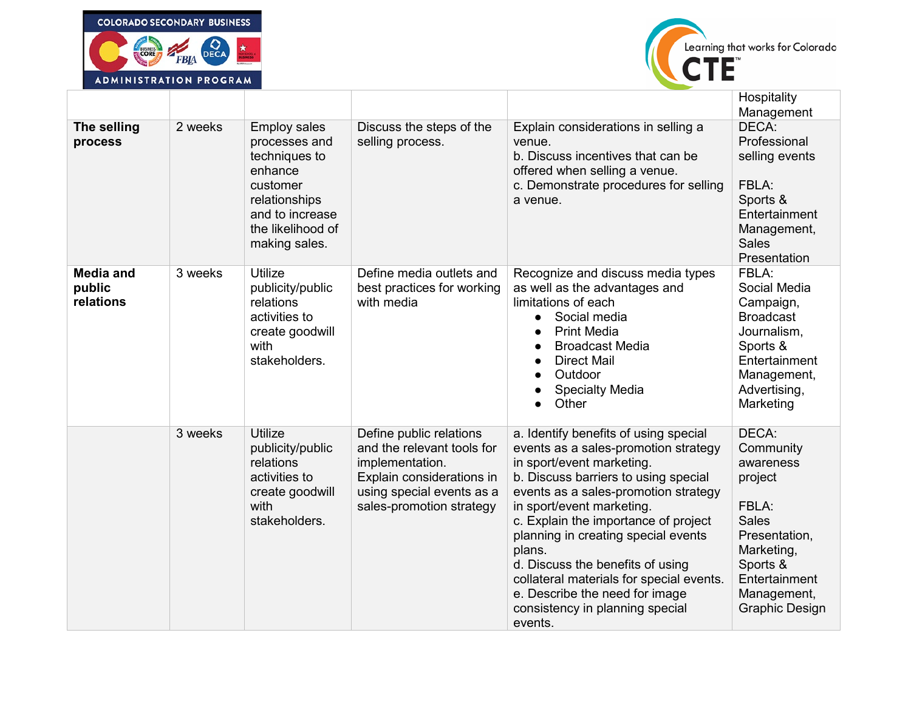



|                                         | AUMINISIRAIIUN FRUURAM |                                                                                                                                                        |                                                                                                                                                                |                                                                                                                                                                                                                                                                                                                                                                                                                                                                                  |                                                                                                                                                                         |  |
|-----------------------------------------|------------------------|--------------------------------------------------------------------------------------------------------------------------------------------------------|----------------------------------------------------------------------------------------------------------------------------------------------------------------|----------------------------------------------------------------------------------------------------------------------------------------------------------------------------------------------------------------------------------------------------------------------------------------------------------------------------------------------------------------------------------------------------------------------------------------------------------------------------------|-------------------------------------------------------------------------------------------------------------------------------------------------------------------------|--|
|                                         |                        |                                                                                                                                                        |                                                                                                                                                                |                                                                                                                                                                                                                                                                                                                                                                                                                                                                                  | Hospitality<br>Management                                                                                                                                               |  |
| The selling<br>process                  | 2 weeks                | <b>Employ sales</b><br>processes and<br>techniques to<br>enhance<br>customer<br>relationships<br>and to increase<br>the likelihood of<br>making sales. | Discuss the steps of the<br>selling process.                                                                                                                   | Explain considerations in selling a<br>venue.<br>b. Discuss incentives that can be<br>offered when selling a venue.<br>c. Demonstrate procedures for selling<br>a venue.                                                                                                                                                                                                                                                                                                         | DECA:<br>Professional<br>selling events<br>FBLA:<br>Sports &<br>Entertainment<br>Management,<br><b>Sales</b><br>Presentation                                            |  |
| <b>Media and</b><br>public<br>relations | 3 weeks                | Utilize<br>publicity/public<br>relations<br>activities to<br>create goodwill<br>with<br>stakeholders.                                                  | Define media outlets and<br>best practices for working<br>with media                                                                                           | Recognize and discuss media types<br>as well as the advantages and<br>limitations of each<br>Social media<br>$\bullet$<br><b>Print Media</b><br>$\bullet$<br><b>Broadcast Media</b><br>$\bullet$<br><b>Direct Mail</b><br>Outdoor<br>$\bullet$<br><b>Specialty Media</b><br>Other                                                                                                                                                                                                | FBLA:<br>Social Media<br>Campaign,<br><b>Broadcast</b><br>Journalism,<br>Sports &<br>Entertainment<br>Management,<br>Advertising,<br>Marketing                          |  |
|                                         | 3 weeks                | <b>Utilize</b><br>publicity/public<br>relations<br>activities to<br>create goodwill<br>with<br>stakeholders.                                           | Define public relations<br>and the relevant tools for<br>implementation.<br>Explain considerations in<br>using special events as a<br>sales-promotion strategy | a. Identify benefits of using special<br>events as a sales-promotion strategy<br>in sport/event marketing.<br>b. Discuss barriers to using special<br>events as a sales-promotion strategy<br>in sport/event marketing.<br>c. Explain the importance of project<br>planning in creating special events<br>plans.<br>d. Discuss the benefits of using<br>collateral materials for special events.<br>e. Describe the need for image<br>consistency in planning special<br>events. | DECA:<br>Community<br>awareness<br>project<br>FBLA:<br><b>Sales</b><br>Presentation,<br>Marketing,<br>Sports &<br>Entertainment<br>Management,<br><b>Graphic Design</b> |  |